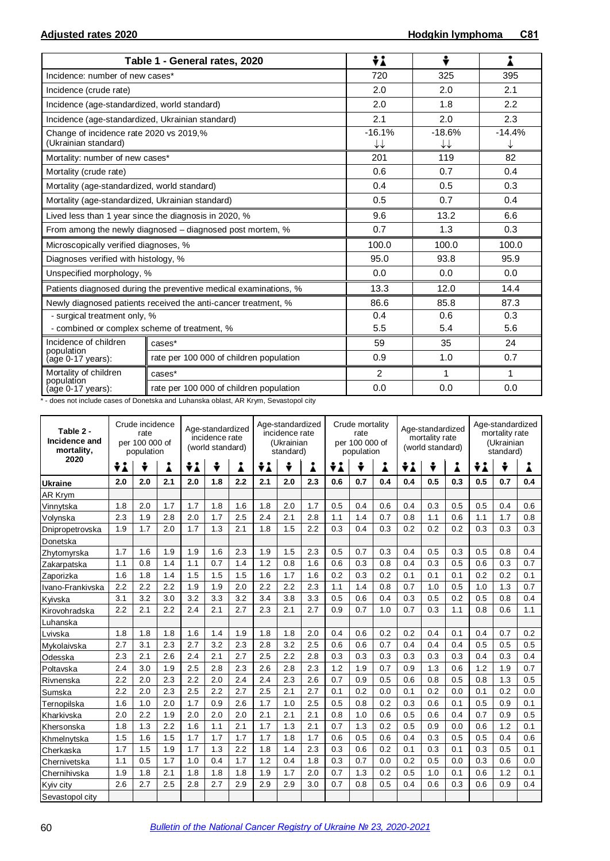|                                                                 | Table 1 - General rates, 2020                                    | ÷i                                 | ÷              |          |  |
|-----------------------------------------------------------------|------------------------------------------------------------------|------------------------------------|----------------|----------|--|
| Incidence: number of new cases*                                 |                                                                  | 720                                | 325            | 395      |  |
| Incidence (crude rate)                                          |                                                                  | 2.0                                | 2.0            | 2.1      |  |
| Incidence (age-standardized, world standard)                    |                                                                  | 2.0                                | 1.8            | 2.2      |  |
| Incidence (age-standardized, Ukrainian standard)                |                                                                  | 2.1                                | 2.0            | 2.3      |  |
| Change of incidence rate 2020 vs 2019,%<br>(Ukrainian standard) |                                                                  | $-16.1%$<br>$\downarrow\downarrow$ | $-18.6%$<br>↓↓ | $-14.4%$ |  |
| Mortality: number of new cases*                                 |                                                                  | 201                                | 119            | 82       |  |
| Mortality (crude rate)                                          |                                                                  | 0.6                                | 0.7            | 0.4      |  |
| Mortality (age-standardized, world standard)                    |                                                                  | 0.4                                | 0.5            | 0.3      |  |
| Mortality (age-standardized, Ukrainian standard)                |                                                                  | 0.5                                | 0.7            | 0.4      |  |
|                                                                 | Lived less than 1 year since the diagnosis in 2020, %            | 9.6                                | 13.2           | 6.6      |  |
|                                                                 | From among the newly diagnosed – diagnosed post mortem, %        | 0.7                                | 1.3            | 0.3      |  |
| Microscopically verified diagnoses, %                           |                                                                  | 100.0                              | 100.0          | 100.0    |  |
| Diagnoses verified with histology, %                            |                                                                  | 95.0                               | 93.8           | 95.9     |  |
| Unspecified morphology, %                                       |                                                                  | 0.0                                | 0.0            | 0.0      |  |
|                                                                 | Patients diagnosed during the preventive medical examinations, % | 13.3                               | 12.0           | 14.4     |  |
|                                                                 | Newly diagnosed patients received the anti-cancer treatment, %   | 86.6                               | 85.8           | 87.3     |  |
| - surgical treatment only, %                                    |                                                                  | 0.4                                | 0.6            |          |  |
| - combined or complex scheme of treatment, %                    |                                                                  | 5.5                                | 5.4            | 5.6      |  |
| Incidence of children<br>population                             | cases*                                                           | 59                                 | 35             | 24       |  |
| (age 0-17 years):                                               | rate per 100 000 of children population                          | 0.9                                | 1.0            | 0.7      |  |
| Mortality of children                                           | cases*                                                           | 2                                  | 1              | 1        |  |
| population<br>(age 0-17 years):                                 | rate per 100 000 of children population                          | 0.0                                | 0.0            | 0.0      |  |

\* - does not include cases of Donetska and Luhanska oblast, AR Krym, Sevastopol city

| Table 2 -<br>Incidence and<br>mortality, | Crude incidence<br>Age-standardized<br>rate<br>incidence rate<br>per 100 000 of<br>(world standard)<br>population |     |     |     |     | Age-standardized<br>incidence rate<br>(Ukrainian<br>standard) |     |     | Crude mortality<br>rate<br>per 100 000 of<br>population |     |     | Age-standardized<br>mortality rate<br>(world standard) |     |     | Age-standardized<br>mortality rate<br>(Ukrainian<br>standard) |     |     |     |
|------------------------------------------|-------------------------------------------------------------------------------------------------------------------|-----|-----|-----|-----|---------------------------------------------------------------|-----|-----|---------------------------------------------------------|-----|-----|--------------------------------------------------------|-----|-----|---------------------------------------------------------------|-----|-----|-----|
| 2020                                     | ÷i                                                                                                                | ÷   | i   | ÷i  | ÷   | i                                                             | ÷i  | ÷   | i                                                       | ÷i  | ÷   | Å                                                      | ÷i  | ÷   | i                                                             | ÷i  | ÷   | Å   |
| Ukraine                                  | 2.0                                                                                                               | 2.0 | 2.1 | 2.0 | 1.8 | 2.2                                                           | 2.1 | 2.0 | 2.3                                                     | 0.6 | 0.7 | 0.4                                                    | 0.4 | 0.5 | 0.3                                                           | 0.5 | 0.7 | 0.4 |
| AR Krym                                  |                                                                                                                   |     |     |     |     |                                                               |     |     |                                                         |     |     |                                                        |     |     |                                                               |     |     |     |
| Vinnytska                                | 1.8                                                                                                               | 2.0 | 1.7 | 1.7 | 1.8 | 1.6                                                           | 1.8 | 2.0 | 1.7                                                     | 0.5 | 0.4 | 0.6                                                    | 0.4 | 0.3 | 0.5                                                           | 0.5 | 0.4 | 0.6 |
| Volynska                                 | 2.3                                                                                                               | 1.9 | 2.8 | 2.0 | 1.7 | 2.5                                                           | 2.4 | 2.1 | 2.8                                                     | 1.1 | 1.4 | 0.7                                                    | 0.8 | 1.1 | 0.6                                                           | 1.1 | 1.7 | 0.8 |
| Dnipropetrovska                          | 1.9                                                                                                               | 1.7 | 2.0 | 1.7 | 1.3 | 2.1                                                           | 1.8 | 1.5 | 2.2                                                     | 0.3 | 0.4 | 0.3                                                    | 0.2 | 0.2 | 0.2                                                           | 0.3 | 0.3 | 0.3 |
| Donetska                                 |                                                                                                                   |     |     |     |     |                                                               |     |     |                                                         |     |     |                                                        |     |     |                                                               |     |     |     |
| Zhytomyrska                              | 1.7                                                                                                               | 1.6 | 1.9 | 1.9 | 1.6 | 2.3                                                           | 1.9 | 1.5 | 2.3                                                     | 0.5 | 0.7 | 0.3                                                    | 0.4 | 0.5 | 0.3                                                           | 0.5 | 0.8 | 0.4 |
| Zakarpatska                              | 1.1                                                                                                               | 0.8 | 1.4 | 1.1 | 0.7 | 1.4                                                           | 1.2 | 0.8 | 1.6                                                     | 0.6 | 0.3 | 0.8                                                    | 0.4 | 0.3 | 0.5                                                           | 0.6 | 0.3 | 0.7 |
| Zaporizka                                | 1.6                                                                                                               | 1.8 | 1.4 | 1.5 | 1.5 | 1.5                                                           | 1.6 | 1.7 | 1.6                                                     | 0.2 | 0.3 | 0.2                                                    | 0.1 | 0.1 | 0.1                                                           | 0.2 | 0.2 | 0.1 |
| Ivano-Frankivska                         | 2.2                                                                                                               | 2.2 | 2.2 | 1.9 | 1.9 | 2.0                                                           | 2.2 | 2.2 | 2.3                                                     | 1.1 | 1.4 | 0.8                                                    | 0.7 | 1.0 | 0.5                                                           | 1.0 | 1.3 | 0.7 |
| Kyivska                                  | 3.1                                                                                                               | 3.2 | 3.0 | 3.2 | 3.3 | 3.2                                                           | 3.4 | 3.8 | 3.3                                                     | 0.5 | 0.6 | 0.4                                                    | 0.3 | 0.5 | 0.2                                                           | 0.5 | 0.8 | 0.4 |
| Kirovohradska                            | 2.2                                                                                                               | 2.1 | 2.2 | 2.4 | 2.1 | 2.7                                                           | 2.3 | 2.1 | 2.7                                                     | 0.9 | 0.7 | 1.0                                                    | 0.7 | 0.3 | 1.1                                                           | 0.8 | 0.6 | 1.1 |
| Luhanska                                 |                                                                                                                   |     |     |     |     |                                                               |     |     |                                                         |     |     |                                                        |     |     |                                                               |     |     |     |
| Lvivska                                  | 1.8                                                                                                               | 1.8 | 1.8 | 1.6 | 1.4 | 1.9                                                           | 1.8 | 1.8 | 2.0                                                     | 0.4 | 0.6 | 0.2                                                    | 0.2 | 0.4 | 0.1                                                           | 0.4 | 0.7 | 0.2 |
| Mykolaivska                              | 2.7                                                                                                               | 3.1 | 2.3 | 2.7 | 3.2 | 2.3                                                           | 2.8 | 3.2 | 2.5                                                     | 0.6 | 0.6 | 0.7                                                    | 0.4 | 0.4 | 0.4                                                           | 0.5 | 0.5 | 0.5 |
| Odesska                                  | 2.3                                                                                                               | 2.1 | 2.6 | 2.4 | 2.1 | 2.7                                                           | 2.5 | 2.2 | 2.8                                                     | 0.3 | 0.3 | 0.3                                                    | 0.3 | 0.3 | 0.3                                                           | 0.4 | 0.3 | 0.4 |
| Poltavska                                | 2.4                                                                                                               | 3.0 | 1.9 | 2.5 | 2.8 | 2.3                                                           | 2.6 | 2.8 | 2.3                                                     | 1.2 | 1.9 | 0.7                                                    | 0.9 | 1.3 | 0.6                                                           | 1.2 | 1.9 | 0.7 |
| Rivnenska                                | 2.2                                                                                                               | 2.0 | 2.3 | 2.2 | 2.0 | 2.4                                                           | 2.4 | 2.3 | 2.6                                                     | 0.7 | 0.9 | 0.5                                                    | 0.6 | 0.8 | 0.5                                                           | 0.8 | 1.3 | 0.5 |
| Sumska                                   | 2.2                                                                                                               | 2.0 | 2.3 | 2.5 | 2.2 | 2.7                                                           | 2.5 | 2.1 | 2.7                                                     | 0.1 | 0.2 | 0.0                                                    | 0.1 | 0.2 | 0.0                                                           | 0.1 | 0.2 | 0.0 |
| Ternopilska                              | 1.6                                                                                                               | 1.0 | 2.0 | 1.7 | 0.9 | 2.6                                                           | 1.7 | 1.0 | 2.5                                                     | 0.5 | 0.8 | 0.2                                                    | 0.3 | 0.6 | 0.1                                                           | 0.5 | 0.9 | 0.1 |
| Kharkivska                               | 2.0                                                                                                               | 2.2 | 1.9 | 2.0 | 2.0 | 2.0                                                           | 2.1 | 2.1 | 2.1                                                     | 0.8 | 1.0 | 0.6                                                    | 0.5 | 0.6 | 0.4                                                           | 0.7 | 0.9 | 0.5 |
| Khersonska                               | 1.8                                                                                                               | 1.3 | 2.2 | 1.6 | 1.1 | 2.1                                                           | 1.7 | 1.3 | 2.1                                                     | 0.7 | 1.3 | 0.2                                                    | 0.5 | 0.9 | 0.0                                                           | 0.6 | 1.2 | 0.1 |
| Khmelnytska                              | 1.5                                                                                                               | 1.6 | 1.5 | 1.7 | 1.7 | 1.7                                                           | 1.7 | 1.8 | 1.7                                                     | 0.6 | 0.5 | 0.6                                                    | 0.4 | 0.3 | 0.5                                                           | 0.5 | 0.4 | 0.6 |
| Cherkaska                                | 1.7                                                                                                               | 1.5 | 1.9 | 1.7 | 1.3 | 2.2                                                           | 1.8 | 1.4 | 2.3                                                     | 0.3 | 0.6 | 0.2                                                    | 0.1 | 0.3 | 0.1                                                           | 0.3 | 0.5 | 0.1 |
| Chernivetska                             | 1.1                                                                                                               | 0.5 | 1.7 | 1.0 | 0.4 | 1.7                                                           | 1.2 | 0.4 | 1.8                                                     | 0.3 | 0.7 | 0.0                                                    | 0.2 | 0.5 | 0.0                                                           | 0.3 | 0.6 | 0.0 |
| Chernihivska                             | 1.9                                                                                                               | 1.8 | 2.1 | 1.8 | 1.8 | 1.8                                                           | 1.9 | 1.7 | 2.0                                                     | 0.7 | 1.3 | 0.2                                                    | 0.5 | 1.0 | 0.1                                                           | 0.6 | 1.2 | 0.1 |
| Kyiv city                                | 2.6                                                                                                               | 2.7 | 2.5 | 2.8 | 2.7 | 2.9                                                           | 2.9 | 2.9 | 3.0                                                     | 0.7 | 0.8 | 0.5                                                    | 0.4 | 0.6 | 0.3                                                           | 0.6 | 0.9 | 0.4 |
| Sevastopol city                          |                                                                                                                   |     |     |     |     |                                                               |     |     |                                                         |     |     |                                                        |     |     |                                                               |     |     |     |